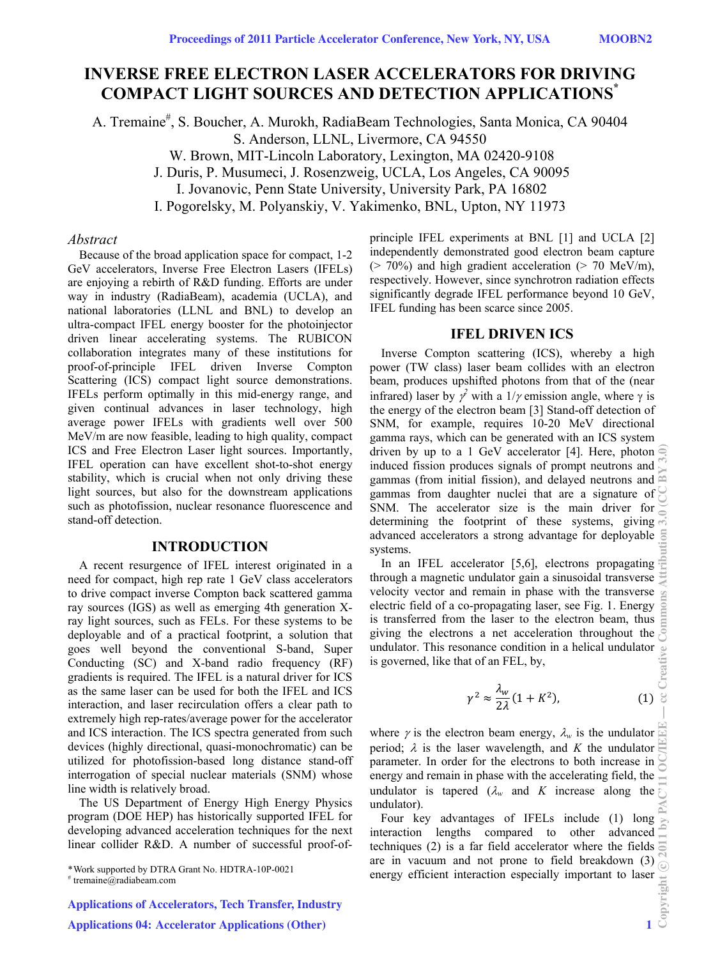# **INVERSE FREE ELECTRON LASER ACCELERATORS FOR DRIVING COMPACT LIGHT SOURCES AND DETECTION APPLICATIONS\***

A. Tremaine<sup>#</sup>, S. Boucher, A. Murokh, RadiaBeam Technologies, Santa Monica, CA 90404 S. Anderson, LLNL, Livermore, CA 94550 W. Brown, MIT-Lincoln Laboratory, Lexington, MA 02420-9108

J. Duris, P. Musumeci, J. Rosenzweig, UCLA, Los Angeles, CA 90095

I. Jovanovic, Penn State University, University Park, PA 16802

I. Pogorelsky, M. Polyanskiy, V. Yakimenko, BNL, Upton, NY 11973

## *Abstract*

Because of the broad application space for compact, 1-2 GeV accelerators, Inverse Free Electron Lasers (IFELs) are enjoying a rebirth of R&D funding. Efforts are under way in industry (RadiaBeam), academia (UCLA), and national laboratories (LLNL and BNL) to develop an ultra-compact IFEL energy booster for the photoinjector driven linear accelerating systems. The RUBICON collaboration integrates many of these institutions for proof-of-principle IFEL driven Inverse Compton Scattering (ICS) compact light source demonstrations. IFELs perform optimally in this mid-energy range, and given continual advances in laser technology, high average power IFELs with gradients well over 500 MeV/m are now feasible, leading to high quality, compact ICS and Free Electron Laser light sources. Importantly, IFEL operation can have excellent shot-to-shot energy stability, which is crucial when not only driving these light sources, but also for the downstream applications such as photofission, nuclear resonance fluorescence and stand-off detection.

## **INTRODUCTION**

A recent resurgence of IFEL interest originated in a need for compact, high rep rate 1 GeV class accelerators to drive compact inverse Compton back scattered gamma ray sources (IGS) as well as emerging 4th generation Xray light sources, such as FELs. For these systems to be deployable and of a practical footprint, a solution that goes well beyond the conventional S-band, Super Conducting (SC) and X-band radio frequency (RF) gradients is required. The IFEL is a natural driver for ICS as the same laser can be used for both the IFEL and ICS interaction, and laser recirculation offers a clear path to extremely high rep-rates/average power for the accelerator and ICS interaction. The ICS spectra generated from such devices (highly directional, quasi-monochromatic) can be utilized for photofission-based long distance stand-off interrogation of special nuclear materials (SNM) whose line width is relatively broad.

The US Department of Energy High Energy Physics program (DOE HEP) has historically supported IFEL for developing advanced acceleration techniques for the next linear collider R&D. A number of successful proof-of-

\* Work supported by DTRA Grant No. HDTRA-10P-0021

Applications of Accelerators, Tech Transfer, Industry

Applications 04: Accelerator Applications (Other) 1

principle IFEL experiments at BNL [1] and UCLA [2] independently demonstrated good electron beam capture  $(> 70\%)$  and high gradient acceleration  $(> 70 \text{ MeV/m})$ , respectively. However, since synchrotron radiation effects significantly degrade IFEL performance beyond 10 GeV, IFEL funding has been scarce since 2005.

#### **IFEL DRIVEN ICS**

Inverse Compton scattering (ICS), whereby a high power (TW class) laser beam collides with an electron beam, produces upshifted photons from that of the (near infrared) laser by  $\gamma^2$  with a 1/ $\gamma$  emission angle, where  $\gamma$  is the energy of the electron beam [3] Stand-off detection of SNM, for example, requires 10-20 MeV directional gamma rays, which can be generated with an ICS system driven by up to a 1 GeV accelerator [4]. Here, photon  $\widehat{\in}$ induced fission produces signals of prompt neutrons and gammas (from initial fission), and delayed neutrons and gammas from daughter nuclei that are a signature of SNM. The accelerator size is the main driver for determining the footprint of these systems, giving  $\vec{m}$ advanced accelerators a strong advantage for deployable  $\overline{5}$ systems.

In an IFEL accelerator [5,6], electrons propagating  $\equiv$ through a magnetic undulator gain a sinusoidal transverse velocity vector and remain in phase with the transverse electric field of a co-propagating laser, see Fig. 1. Energy is transferred from the laser to the electron beam, thus giving the electrons a net acceleration throughout the undulator. This resonance condition in a helical undulator is governed, like that of an FEL, by,

$$
\gamma^2 \approx \frac{\lambda_w}{2\lambda} (1 + K^2), \tag{1}
$$

where  $\gamma$  is the electron beam energy,  $\lambda_w$  is the undulator period;  $\lambda$  is the laser wavelength, and *K* the undulator parameter. In order for the electrons to both increase in  $\geq$ energy and remain in phase with the accelerating field, the undulator is tapered  $(\lambda_w$  and *K* increase along the undulator).

Four key advantages of IFELs include (1) long interaction lengths compared to other advanced techniques (2) is a far field accelerator where the fields  $\sum_{n=1}^{\infty}$ are in vacuum and not prone to field breakdown (3) energy efficient interaction especially important to laser

<sup>#</sup> tremaine@radiabeam.com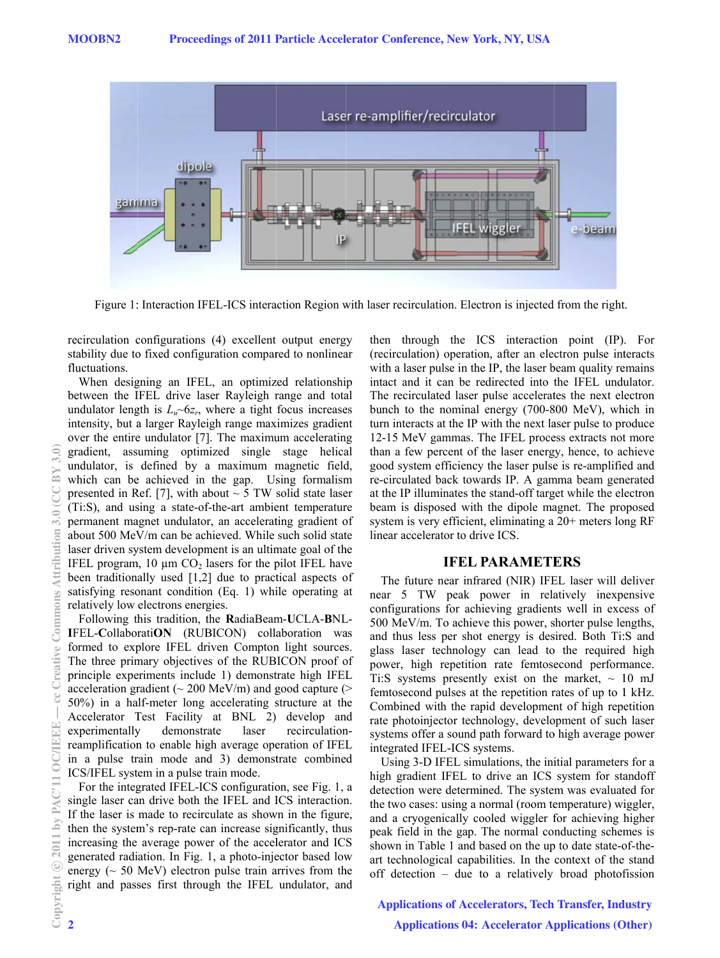

Figure 1: Interaction IFEL-ICS interaction Region with laser recirculation. Electron is injected from the right.

recirculation configurations (4) excellent output energy stability due to fixed configuration compared to nonlinear fluctuations.

When designing an IFEL, an optimized relationship between the IFEL drive laser Rayleigh range and total undulator length is  $L_u \sim 6z_r$ , where a tight focus increases intensity, but a larger Rayleigh range maximizes gradient over the entire undulator [7]. The maximum accelerating gradient, assuming optimized single stage helical undulator, is defined by a maximum magnetic field, which can be achieved in the gap. Using formalism presented in Ref. [7], with about  $\sim$  5 TW solid state laser (Ti:S), and using a state-of-the-art ambient temperature permanent magnet undulator, an accelerating gradient of about 500 MeV/m can be achieved. While such solid state laser driven system development is an ultimate goal of the IFEL program,  $10 \mu m CO_2$  lasers for the pilot IFEL have been traditionally used  $[1,2]$  due to practical aspects of satisfying resonant condition (Eq. 1) while operating at relatively low electrons energies.

Following this tradition, the RadiaBeam-UCLA-BNL-IFEL-CollaboratiON (RUBICON) collaboration was formed to explore IFEL driven Compton light sources. The three primary objectives of the RUBICON proof of principle experiments include 1) demonstrate high IFEL acceleration gradient ( $\sim$  200 MeV/m) and good capture ( $>$ 50%) in a half-meter long accelerating structure at the Accelerator Test Facility at BNL 2) develop and experimentally demonstrate laser recirculationreamplification to enable high average operation of IFEL in a pulse train mode and 3) demonstrate combined ICS/IFEL system in a pulse train mode.

For the integrated IFEL-ICS configuration, see Fig. 1, a single laser can drive both the IFEL and ICS interaction. If the laser is made to recirculate as shown in the figure, then the system's rep-rate can increase significantly, thus increasing the average power of the accelerator and ICS generated radiation. In Fig. 1, a photo-injector based low energy ( $\sim$  50 MeV) electron pulse train arrives from the right and passes first through the IFEL undulator, and then through the ICS interaction point (IP). For (recirculation) operation, after an electron pulse interacts with a laser pulse in the IP, the laser beam quality remains intact and it can be redirected into the IFEL undulator. The recirculated laser pulse accelerates the next electron bunch to the nominal energy (700-800 MeV), which in turn interacts at the IP with the next laser pulse to produce 12-15 MeV gammas. The IFEL process extracts not more than a few percent of the laser energy, hence, to achieve good system efficiency the laser pulse is re-amplified and re-circulated back towards IP. A gamma beam generated at the IP illuminates the stand-off target while the electron beam is disposed with the dipole magnet. The proposed system is very efficient, eliminating a 20+ meters long RF linear accelerator to drive ICS.

## **IFEL PARAMETERS**

The future near infrared (NIR) IFEL laser will deliver near 5 TW peak power in relatively inexpensive configurations for achieving gradients well in excess of 500 MeV/m. To achieve this power, shorter pulse lengths, and thus less per shot energy is desired. Both Ti:S and glass laser technology can lead to the required high power, high repetition rate femtosecond performance. Ti:S systems presently exist on the market,  $\sim 10$  mJ femtosecond pulses at the repetition rates of up to 1 kHz. Combined with the rapid development of high repetition rate photoinjector technology, development of such laser systems offer a sound path forward to high average power integrated IFEL-ICS systems.

Using 3-D IFEL simulations, the initial parameters for a high gradient IFEL to drive an ICS system for standoff detection were determined. The system was evaluated for the two cases: using a normal (room temperature) wiggler, and a cryogenically cooled wiggler for achieving higher peak field in the gap. The normal conducting schemes is shown in Table 1 and based on the up to date state-of-theart technological capabilities. In the context of the stand off detection – due to a relatively broad photofission

## **Applications of Accelerators, Tech Transfer, Industry Applications 04: Accelerator Applications (Other)**